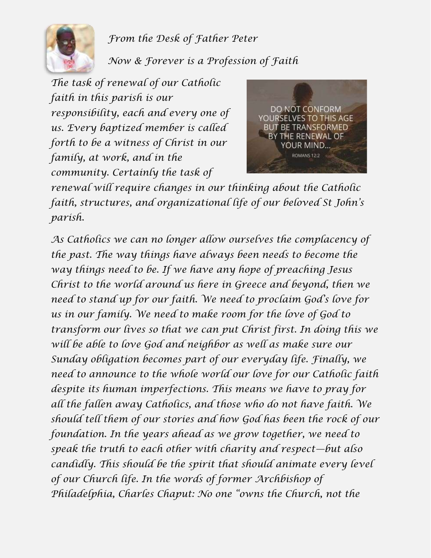

*From the Desk of Father Peter*

*Now & Forever is a Profession of Faith*

*The task of renewal of our Catholic faith in this parish is our responsibility, each and every one of us. Every baptized member is called forth to be a witness of Christ in our family, at work, and in the community. Certainly the task of* 



*renewal will require changes in our thinking about the Catholic faith, structures, and organizational life of our beloved St John's parish.*

*As Catholics we can no longer allow ourselves the complacency of the past. The way things have always been needs to become the way things need to be. If we have any hope of preaching Jesus Christ to the world around us here in Greece and beyond, then we need to stand up for our faith. We need to proclaim God's love for us in our family. We need to make room for the love of God to transform our lives so that we can put Christ first. In doing this we will be able to love God and neighbor as well as make sure our Sunday obligation becomes part of our everyday life. Finally, we need to announce to the whole world our love for our Catholic faith despite its human imperfections. This means we have to pray for all the fallen away Catholics, and those who do not have faith. We should tell them of our stories and how God has been the rock of our foundation. In the years ahead as we grow together, we need to speak the truth to each other with charity and respect—but also candidly. This should be the spirit that should animate every level of our Church life. In the words of former Archbishop of Philadelphia, Charles Chaput: No one "owns the Church, not the*